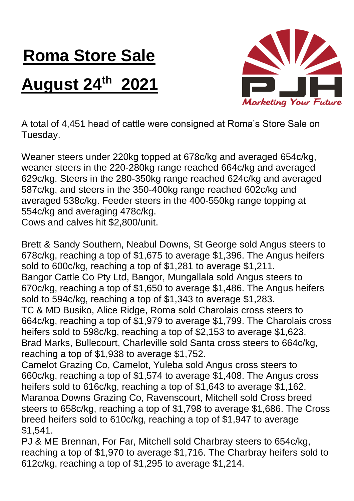## **Roma Store Sale**

## **August 24th 2021**



A total of 4,451 head of cattle were consigned at Roma's Store Sale on Tuesday.

Weaner steers under 220kg topped at 678c/kg and averaged 654c/kg, weaner steers in the 220-280kg range reached 664c/kg and averaged 629c/kg. Steers in the 280-350kg range reached 624c/kg and averaged 587c/kg, and steers in the 350-400kg range reached 602c/kg and averaged 538c/kg. Feeder steers in the 400-550kg range topping at 554c/kg and averaging 478c/kg.

Cows and calves hit \$2,800/unit.

Brett & Sandy Southern, Neabul Downs, St George sold Angus steers to 678c/kg, reaching a top of \$1,675 to average \$1,396. The Angus heifers sold to 600c/kg, reaching a top of \$1,281 to average \$1,211. Bangor Cattle Co Pty Ltd, Bangor, Mungallala sold Angus steers to 670c/kg, reaching a top of \$1,650 to average \$1,486. The Angus heifers sold to 594c/kg, reaching a top of \$1,343 to average \$1,283. TC & MD Busiko, Alice Ridge, Roma sold Charolais cross steers to 664c/kg, reaching a top of \$1,979 to average \$1,799. The Charolais cross heifers sold to 598c/kg, reaching a top of \$2,153 to average \$1,623. Brad Marks, Bullecourt, Charleville sold Santa cross steers to 664c/kg, reaching a top of \$1,938 to average \$1,752. Camelot Grazing Co, Camelot, Yuleba sold Angus cross steers to 660c/kg, reaching a top of \$1,574 to average \$1,408. The Angus cross heifers sold to 616c/kg, reaching a top of \$1,643 to average \$1,162.

Maranoa Downs Grazing Co, Ravenscourt, Mitchell sold Cross breed steers to 658c/kg, reaching a top of \$1,798 to average \$1,686. The Cross breed heifers sold to 610c/kg, reaching a top of \$1,947 to average \$1,541.

PJ & ME Brennan, For Far, Mitchell sold Charbray steers to 654c/kg, reaching a top of \$1,970 to average \$1,716. The Charbray heifers sold to 612c/kg, reaching a top of \$1,295 to average \$1,214.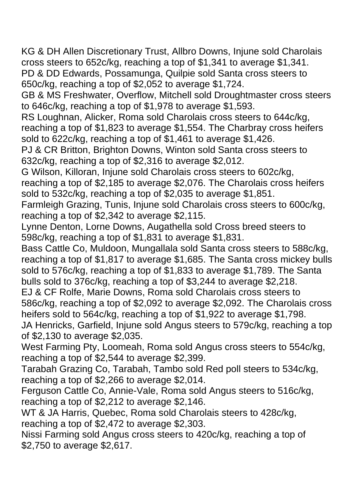KG & DH Allen Discretionary Trust, Allbro Downs, Injune sold Charolais cross steers to 652c/kg, reaching a top of \$1,341 to average \$1,341. PD & DD Edwards, Possamunga, Quilpie sold Santa cross steers to 650c/kg, reaching a top of \$2,052 to average \$1,724.

GB & MS Freshwater, Overflow, Mitchell sold Droughtmaster cross steers to 646c/kg, reaching a top of \$1,978 to average \$1,593.

RS Loughnan, Alicker, Roma sold Charolais cross steers to 644c/kg, reaching a top of \$1,823 to average \$1,554. The Charbray cross heifers sold to 622c/kg, reaching a top of \$1,461 to average \$1,426.

PJ & CR Britton, Brighton Downs, Winton sold Santa cross steers to 632c/kg, reaching a top of \$2,316 to average \$2,012.

G Wilson, Killoran, Injune sold Charolais cross steers to 602c/kg, reaching a top of \$2,185 to average \$2,076. The Charolais cross heifers sold to 532c/kg, reaching a top of \$2,035 to average \$1,851.

Farmleigh Grazing, Tunis, Injune sold Charolais cross steers to 600c/kg, reaching a top of \$2,342 to average \$2,115.

Lynne Denton, Lorne Downs, Augathella sold Cross breed steers to 598c/kg, reaching a top of \$1,831 to average \$1,831.

Bass Cattle Co, Muldoon, Mungallala sold Santa cross steers to 588c/kg, reaching a top of \$1,817 to average \$1,685. The Santa cross mickey bulls sold to 576c/kg, reaching a top of \$1,833 to average \$1,789. The Santa bulls sold to 376c/kg, reaching a top of \$3,244 to average \$2,218.

EJ & CF Rolfe, Marie Downs, Roma sold Charolais cross steers to 586c/kg, reaching a top of \$2,092 to average \$2,092. The Charolais cross heifers sold to 564c/kg, reaching a top of \$1,922 to average \$1,798.

JA Henricks, Garfield, Injune sold Angus steers to 579c/kg, reaching a top of \$2,130 to average \$2,035.

West Farming Pty, Loomeah, Roma sold Angus cross steers to 554c/kg, reaching a top of \$2,544 to average \$2,399.

Tarabah Grazing Co, Tarabah, Tambo sold Red poll steers to 534c/kg, reaching a top of \$2,266 to average \$2,014.

Ferguson Cattle Co, Annie-Vale, Roma sold Angus steers to 516c/kg, reaching a top of \$2,212 to average \$2,146.

WT & JA Harris, Quebec, Roma sold Charolais steers to 428c/kg, reaching a top of \$2,472 to average \$2,303.

Nissi Farming sold Angus cross steers to 420c/kg, reaching a top of \$2,750 to average \$2,617.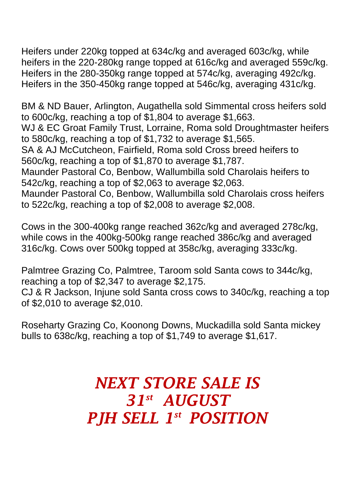Heifers under 220kg topped at 634c/kg and averaged 603c/kg, while heifers in the 220-280kg range topped at 616c/kg and averaged 559c/kg. Heifers in the 280-350kg range topped at 574c/kg, averaging 492c/kg. Heifers in the 350-450kg range topped at 546c/kg, averaging 431c/kg.

BM & ND Bauer, Arlington, Augathella sold Simmental cross heifers sold to 600c/kg, reaching a top of \$1,804 to average \$1,663.

WJ & EC Groat Family Trust, Lorraine, Roma sold Droughtmaster heifers to 580c/kg, reaching a top of \$1,732 to average \$1,565.

SA & AJ McCutcheon, Fairfield, Roma sold Cross breed heifers to 560c/kg, reaching a top of \$1,870 to average \$1,787.

Maunder Pastoral Co, Benbow, Wallumbilla sold Charolais heifers to 542c/kg, reaching a top of \$2,063 to average \$2,063.

Maunder Pastoral Co, Benbow, Wallumbilla sold Charolais cross heifers to 522c/kg, reaching a top of \$2,008 to average \$2,008.

Cows in the 300-400kg range reached 362c/kg and averaged 278c/kg, while cows in the 400kg-500kg range reached 386c/kg and averaged 316c/kg. Cows over 500kg topped at 358c/kg, averaging 333c/kg.

Palmtree Grazing Co, Palmtree, Taroom sold Santa cows to 344c/kg, reaching a top of \$2,347 to average \$2,175.

CJ & R Jackson, Injune sold Santa cross cows to 340c/kg, reaching a top of \$2,010 to average \$2,010.

Roseharty Grazing Co, Koonong Downs, Muckadilla sold Santa mickey bulls to 638c/kg, reaching a top of \$1,749 to average \$1,617.

## *NEXT STORE SALE IS 31st AUGUST PJH SELL 1 st POSITION*